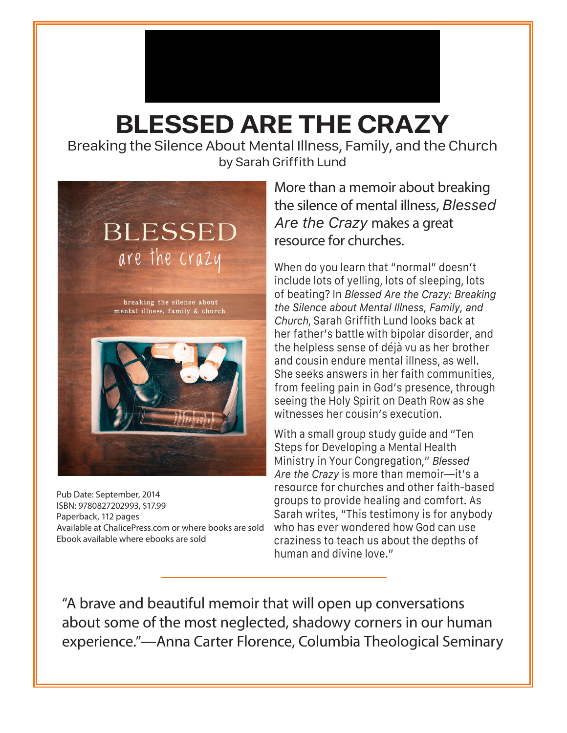## Media Contact

Indu Guzman • Marketing Coordinator www.chalicepress.com • 314-952-0590 iguzman@chalicepress.com

## **BLESSED ARE THE CRAZY**

Breaking the Silence About Mental Illness, Family, and the Church by Sarah Griffith Lund



Pub Date: September, 2014 ISBN: 9780827202993, \$17.99 Paperback, 112 pages Available at ChalicePress.com or where books are sold Ebook available where ebooks are sold

More than a memoir about breaking the silence of mental illness, *Blessed Are the Crazy* makes a great resource for churches.

When do you learn that "normal" doesn't include lots of yelling, lots of sleeping, lots of beating? In *Blessed Are the Crazy: Breaking the Silence about Mental Illness, Family, and Church*, Sarah Griffith Lund looks back at her father's battle with bipolar disorder, and the helpless sense of déjà vu as her brother and cousin endure mental illness, as well. She seeks answers in her faith communities, from feeling pain in God's presence, through seeing the Holy Spirit on Death Row as she witnesses her cousin's execution.

With a small group study guide and "Ten Steps for Developing a Mental Health Ministry in Your Congregation," *Blessed Are the Crazy* is more than memoir—it's a resource for churches and other faith-based groups to provide healing and comfort. As Sarah writes, "This testimony is for anybody who has ever wondered how God can use craziness to teach us about the depths of human and divine love."

"A brave and beautiful memoir that will open up conversations about some of the most neglected, shadowy corners in our human experience."—Anna Carter Florence, Columbia Theological Seminary